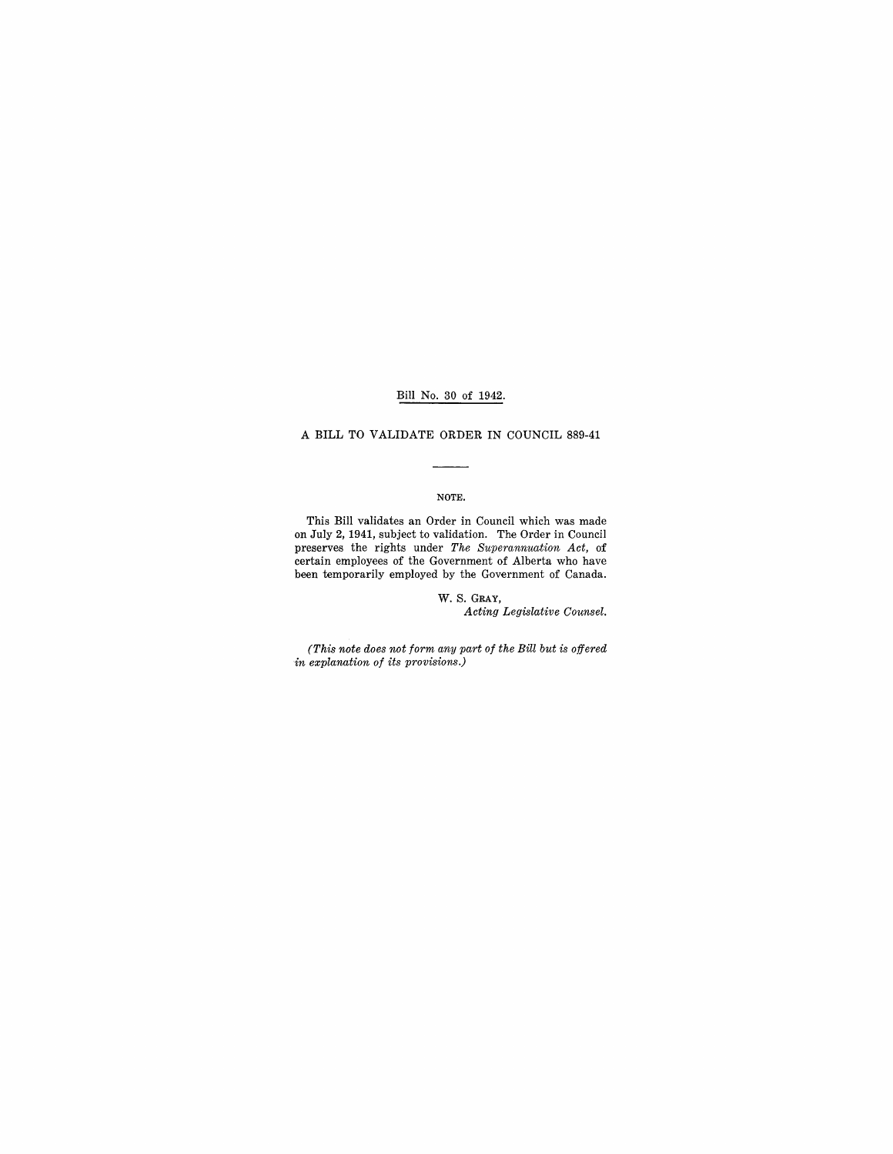# Bill No. 30 of 1942.

# A BILL TO VALIDATE ORDER IN COUNCIL 889-41

## NOTE.

This Bill validates an Order in Council which was made on July 2, 1941, subject to validation. The Order in Council preserves the rights under *The Superannuation Act,* of certain employees of the Government of Alberta who have been temporarily employed by the Government of Canada.

> W. S. GRAY, *Acting Legislative Counsel.*

*(This note does not form any part of the Bill but is offered in explanation of its provisions.)*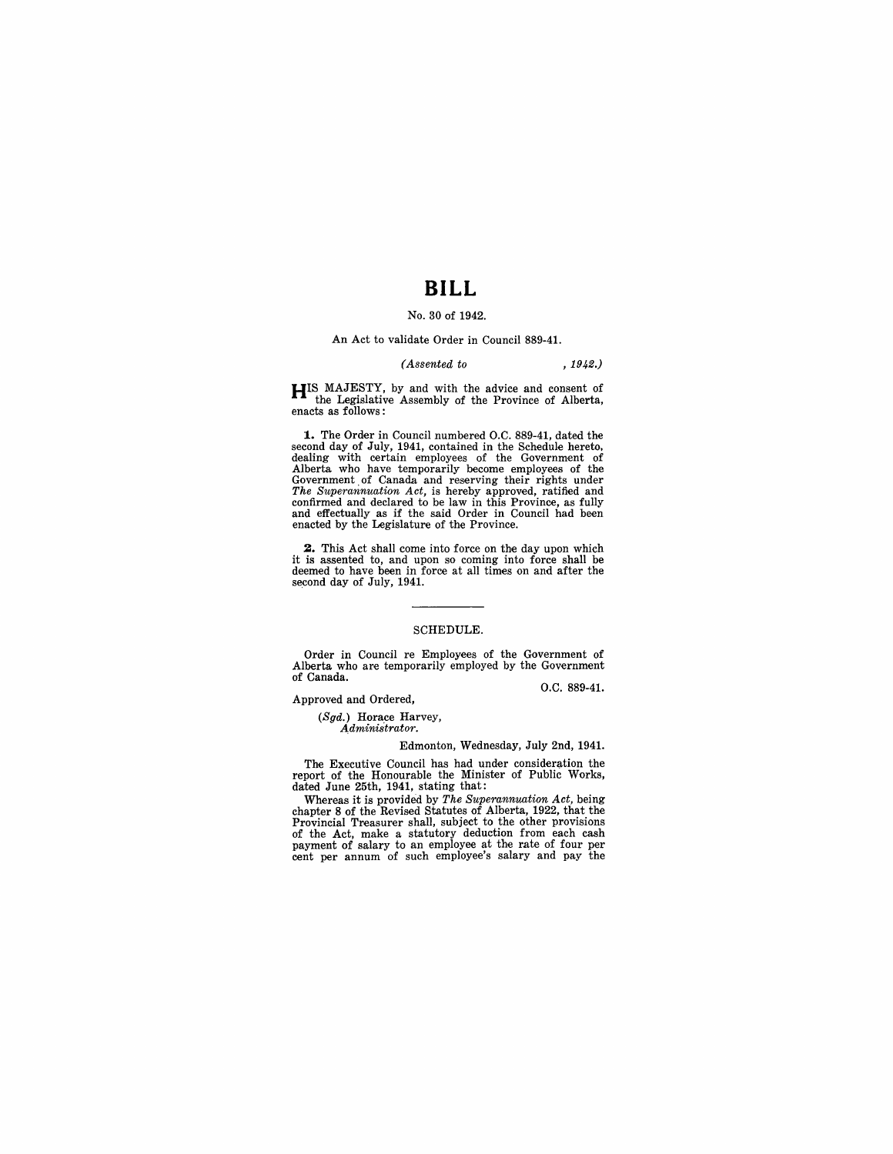# **BILL**

## No. 30 of 1942.

#### An Act to validate Order in Council 889-41.

#### *(Assented to* , 1942.)

**HIS** MAJESTY, by and with the advice and consent of the Legislative Assembly of the Province of Alberta, enacts as follows:

**1.** The Order in Council numbered O.C. 889-41, dated the second day of July, 1941, contained in the Schedule hereto, dealing with certain employees of the Government of Government of Government of Canada and reserving their rights under The Supernmuntion Act, is hereby approved,

**2.** This Act shall come into force on the day upon which it is assented to, and upon so coming into force shall be deemed to have been in force at all times on and after the second day of July, 1941.

#### SCHEDULE.

Order in Council re Employees of the Government of Alberta who are temporarily employed by the Government of Canada.

O.C. 889-41.

Approved and Ordered,

*(Sgd.)* Horace Harvey, *Administrator.* 

#### Edmonton, Wednesday, July 2nd, 1941.

The Executive Council has had under consideration the report of the Honourable the Minister of Public Works, dated June 25th, 1941, stating that:

Whereas it is provided by *The Superannuation Act*, being<br>chapter 8 of the Revised Statutes of Alberta, 1922, that the<br>Provincial Treasurer shall, subject to the other provisions<br>of the Act, make a statutory deduction from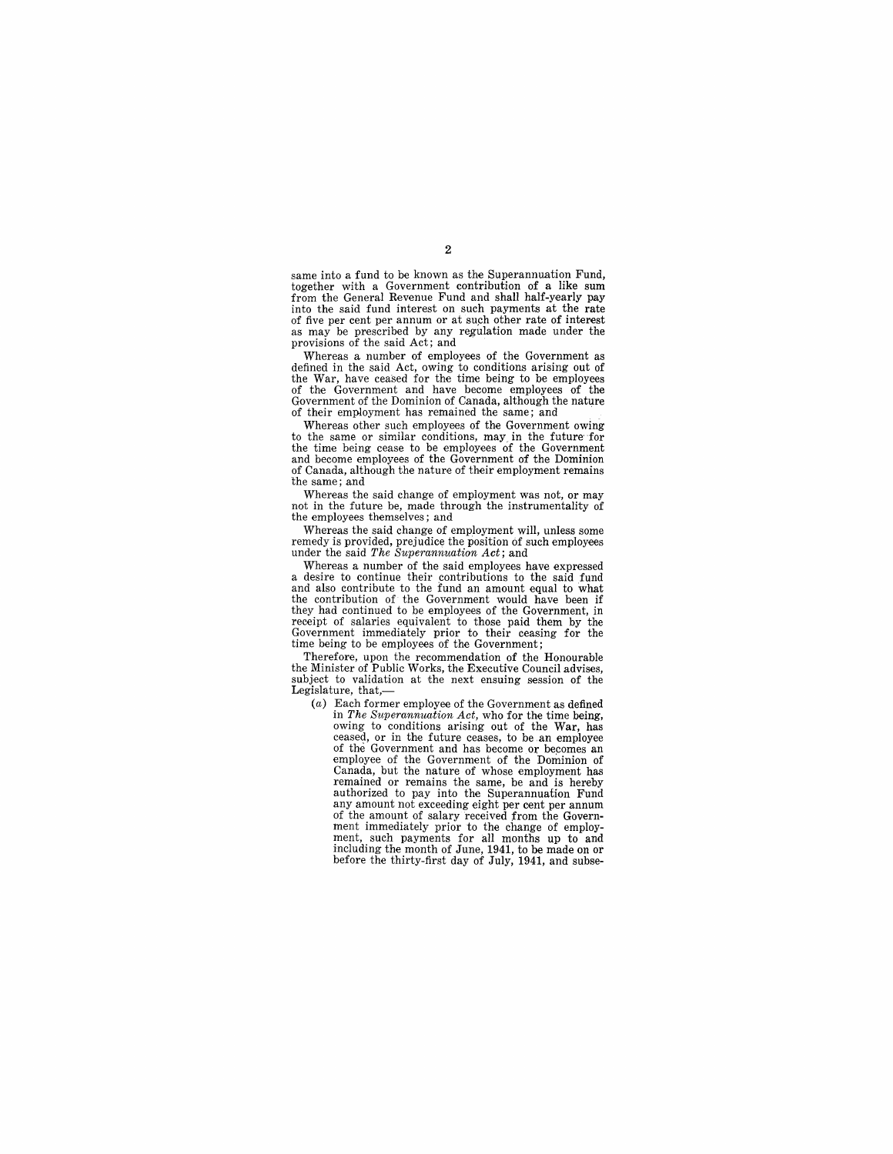same into a fund to be known as the Superannuation Fund, together with a Government contribution of a like sum from the General Revenue Fund and shall half-yearly pay into the said fund interest on such payments at the rate as may be prescribed by any regulation made under the provisions of the said Act; and<br>Whereas a number of employees of the Government as

Whereas a number of employees of the Government as defined in the said Act, owing to conditions arising out of the War, have ceased for the time being to be employees of the Government and have become employees of the Government of the Dominion of Canada, although the nature of their employment has remained the same; and

Whereas other such employees of the Government owing to the same or similar conditions, may in the future for the time being cease to be employees of the Government and become employees of the Government of the Dominion of Canada, although the nature of their employment remains the same; and

Whereas the said change of employment was not, or may not in the future be, made through the instrumentality of the employees themselves; and<br>Whereas the said change of employment will, unless some

remedy is provided, prejudice the position of such employees under the said *The Superannuation Act*; and<br>Whereas a number of the said employees have expressed

Whereas a number of the said employees have expressed<br>a desire to continue their contributions to the said fund<br>and also contribution to the fund an amount equal to what<br>the contribution of the Government would have been i they had continued to be employees of the Government, in receipt of salaries equivalent to those paid them by the Government immediately prior to their ceasing for the time being to be employees of the Government;

Therefore, upon the recommendation of the Honourable the Minister of Public Works, the Executive Council advises, subject to validation at the next ensuing session of the Legislature, that,-

(a) Each former employee of the Government as defined in *The Superannuation Act,* who for the time being, owing to conditions arising out of the War, has ceased, or in the future ceases, to be an employee of the Government and has become Or becomes an employee of the Government of the Dominion of Canada, but the nature of whose employment has remained or remains the same, be and is hereby authorized to pay into the Superannuation Fund of the amount of salary received from the Government immediately prior to the change of employment, such payments for all months up to and including the month of June, 1941, to be made on or before the thirty-first day of July, 1941, and subse-

2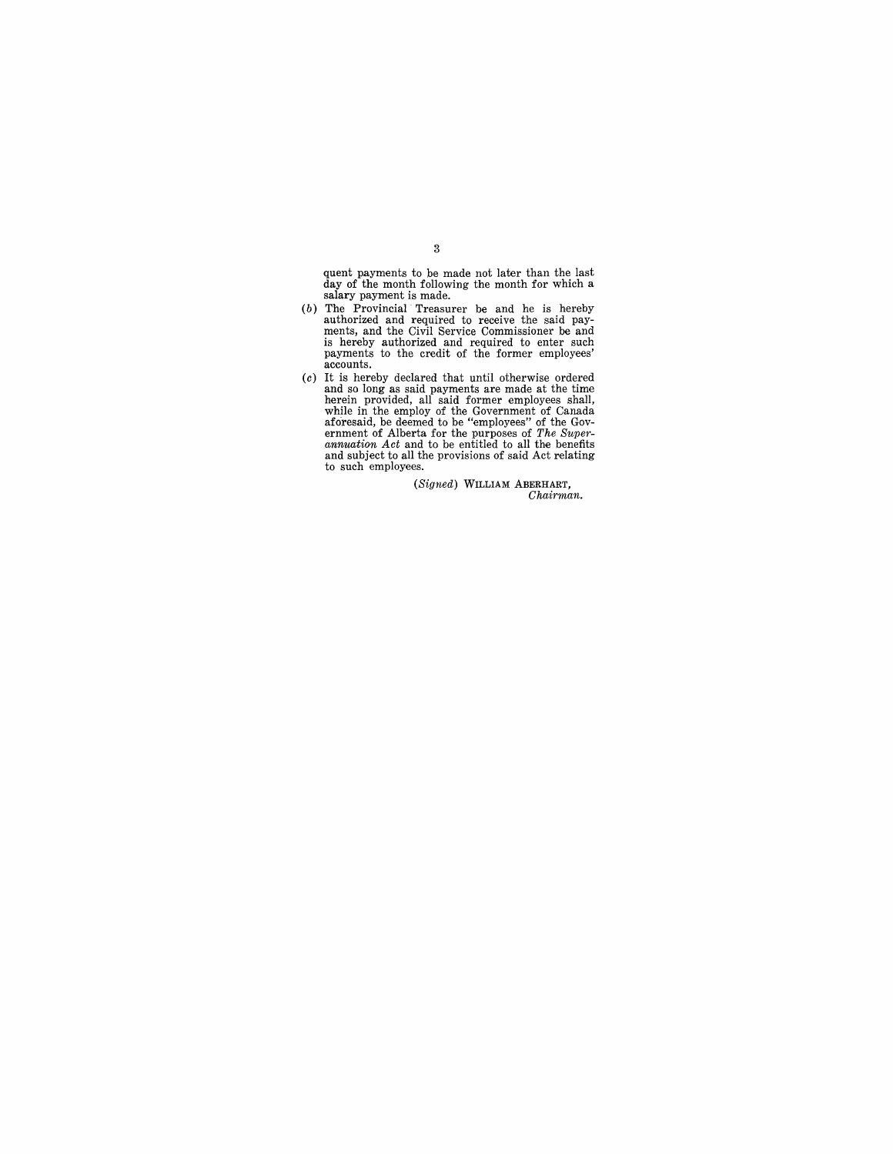quent payments to be made not later than the last day of the month following the month for which a salary payment is made.

- (b) The Provincial Treasurer be and he is hereby authorized and required to receive the said payments, and the Civil Service Commissioner be and is hereby authorized and required to enter such payments to the credit of th accounts.
- (c) It is hereby declared that until otherwise ordered<br>and so long as said payments are made at the time<br>herein provided, all said former employees shall,<br>while in the employ of the Government of Canada<br>aforesaid, be deem to such employees.

(Signed) WILLIAM ABERHART, *Chairman.* 

3